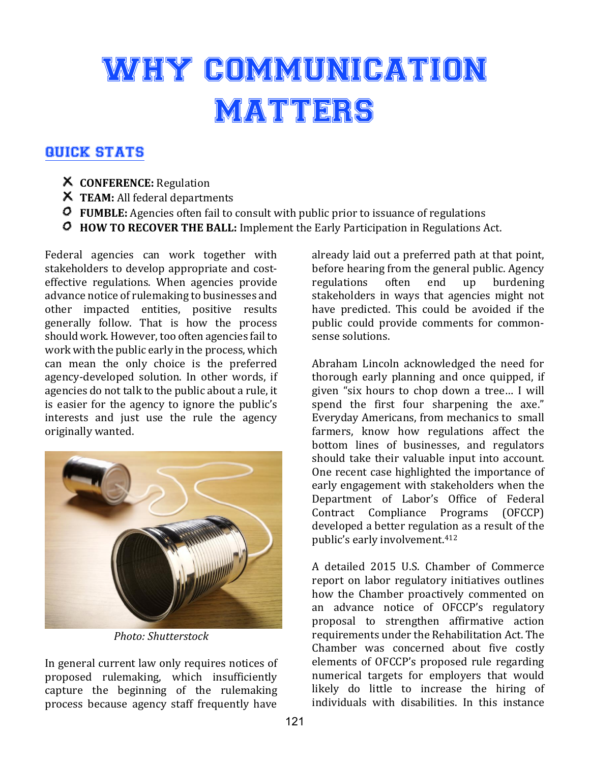## WHY COMMUNICATION **MATTERS**

## QUICK STATS

- X **CONFERENCE:** Regulation
- X **TEAM:** All federal departments
- O **FUMBLE:** Agencies often fail to consult with public prior to issuance of regulations
- O **HOW TO RECOVER THE BALL:** Implement the Early Participation in Regulations Act.

Federal agencies can work together with stakeholders to develop appropriate and costeffective regulations. When agencies provide advance notice of rulemaking to businesses and other impacted entities, positive results generally follow. That is how the process should work. However, too often agencies fail to work with the public early in the process, which can mean the only choice is the preferred agency-developed solution. In other words, if agencies do not talk to the public about a rule, it is easier for the agency to ignore the public's interests and just use the rule the agency originally wanted.



*Photo: Shutterstock*

In general current law only requires notices of proposed rulemaking, which insufficiently capture the beginning of the rulemaking process because agency staff frequently have

already laid out a preferred path at that point, before hearing from the general public. Agency regulations often end up burdening stakeholders in ways that agencies might not have predicted. This could be avoided if the public could provide comments for commonsense solutions.

Abraham Lincoln acknowledged the need for thorough early planning and once quipped, if given "six hours to chop down a tree... I will spend the first four sharpening the axe." Everyday Americans, from mechanics to small farmers, know how regulations affect the bottom lines of businesses, and regulators should take their valuable input into account. One recent case highlighted the importance of early engagement with stakeholders when the Department of Labor's Office of Federal Contract Compliance Programs (OFCCP) developed a better regulation as a result of the public's early involvement.<sup>412</sup>

A detailed 2015 U.S. Chamber of Commerce report on labor regulatory initiatives outlines how the Chamber proactively commented on an advance notice of OFCCP's regulatory proposal to strengthen affirmative action requirements under the Rehabilitation Act. The Chamber was concerned about five costly elements of OFCCP's proposed rule regarding numerical targets for employers that would likely do little to increase the hiring of individuals with disabilities. In this instance